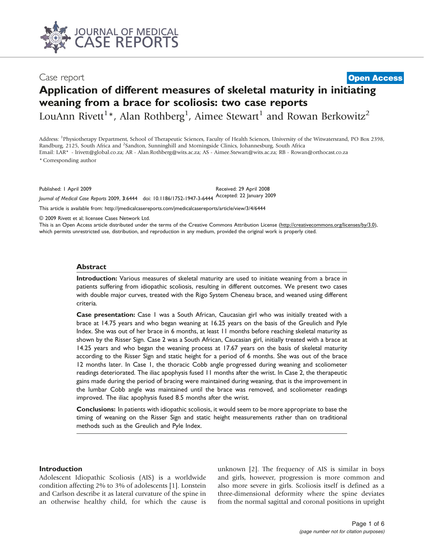

## Case report **[Open Access](http://www.biomedcentral.com/info/about/charter/)**

# Application of different measures of skeletal maturity in initiating weaning from a brace for scoliosis: two case reports

LouAnn Rivett<sup>1</sup>\*, Alan Rothberg<sup>1</sup>, Aimee Stewart<sup>1</sup> and Rowan Berkowitz<sup>2</sup>

Address: <sup>1</sup>Physiotherapy Department, School of Therapeutic Sciences, Faculty of Health Sciences, University of the Witwatersrand, PO Box 2398, Randburg, 2125, South Africa and <sup>2</sup>Sandton, Sunninghill and Morningside Clinics, Johannesburg, South Africa Email: LAR\* - lrivett@global.co.za; AR - Alan.Rothberg@wits.ac.za; AS - Aimee.Stewart@wits.ac.za; RB - Rowan@orthocast.co.za \* Corresponding author

Published: 1 April 2009 Received: 29 April 2008 Journal of Medical Case Reports 2009, 3:6444 doi: 10.1186/1752-1947-3-6444 Accepted: 22 January 2009

This article is available from:<http://jmedicalcasereports.com/jmedicalcasereports/article/view/3/4/6444>

© 2009 Rivett et al; licensee Cases Network Ltd.

This is an Open Access article distributed under the terms of the Creative Commons Attribution License [\(http://creativecommons.org/licenses/by/3.0\)](http://creativecommons.org/licenses/by/3.0), which permits unrestricted use, distribution, and reproduction in any medium, provided the original work is properly cited.

#### **Abstract**

Introduction: Various measures of skeletal maturity are used to initiate weaning from a brace in patients suffering from idiopathic scoliosis, resulting in different outcomes. We present two cases with double major curves, treated with the Rigo System Cheneau brace, and weaned using different criteria.

Case presentation: Case 1 was a South African, Caucasian girl who was initially treated with a brace at 14.75 years and who began weaning at 16.25 years on the basis of the Greulich and Pyle Index. She was out of her brace in 6 months, at least 11 months before reaching skeletal maturity as shown by the Risser Sign. Case 2 was a South African, Caucasian girl, initially treated with a brace at 14.25 years and who began the weaning process at 17.67 years on the basis of skeletal maturity according to the Risser Sign and static height for a period of 6 months. She was out of the brace 12 months later. In Case 1, the thoracic Cobb angle progressed during weaning and scoliometer readings deteriorated. The iliac apophysis fused 11 months after the wrist. In Case 2, the therapeutic gains made during the period of bracing were maintained during weaning, that is the improvement in the lumbar Cobb angle was maintained until the brace was removed, and scoliometer readings improved. The iliac apophysis fused 8.5 months after the wrist.

Conclusions: In patients with idiopathic scoliosis, it would seem to be more appropriate to base the timing of weaning on the Risser Sign and static height measurements rather than on traditional methods such as the Greulich and Pyle Index.

#### Introduction

Adolescent Idiopathic Scoliosis (AIS) is a worldwide condition affecting 2% to 3% of adolescents [[1](#page-4-0)]. Lonstein and Carlson describe it as lateral curvature of the spine in an otherwise healthy child, for which the cause is unknown [\[2\]](#page-4-0). The frequency of AIS is similar in boys and girls, however, progression is more common and also more severe in girls. Scoliosis itself is defined as a three-dimensional deformity where the spine deviates from the normal sagittal and coronal positions in upright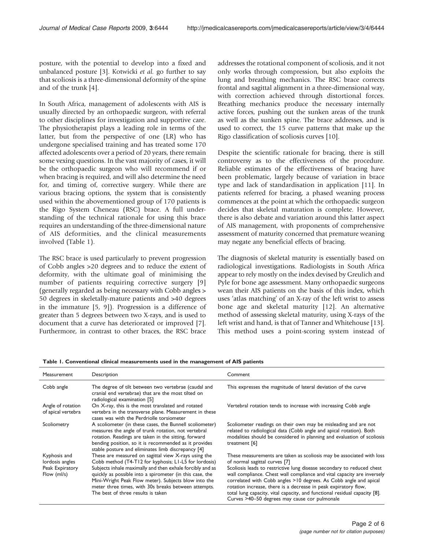posture, with the potential to develop into a fixed and unbalanced posture [\[3\]](#page-4-0). Kotwicki et al. go further to say that scoliosis is a three-dimensional deformity of the spine and of the trunk [[4](#page-4-0)].

In South Africa, management of adolescents with AIS is usually directed by an orthopaedic surgeon, with referral to other disciplines for investigation and supportive care. The physiotherapist plays a leading role in terms of the latter, but from the perspective of one (LR) who has undergone specialised training and has treated some 170 affected adolescents over a period of 20 years, there remain some vexing questions. In the vast majority of cases, it will be the orthopaedic surgeon who will recommend if or when bracing is required, and will also determine the need for, and timing of, corrective surgery. While there are various bracing options, the system that is consistently used within the abovementioned group of 170 patients is the Rigo System Cheneau (RSC) brace. A full understanding of the technical rationale for using this brace requires an understanding of the three-dimensional nature of AIS deformities, and the clinical measurements involved (Table 1).

The RSC brace is used particularly to prevent progression of Cobb angles >20 degrees and to reduce the extent of deformity, with the ultimate goal of minimising the number of patients requiring corrective surgery [[9](#page-4-0)] (generally regarded as being necessary with Cobb angles > 50 degrees in skeletally-mature patients and >40 degrees in the immature [\[5](#page-4-0), [9\]](#page-4-0)). Progression is a difference of greater than 5 degrees between two X-rays, and is used to document that a curve has deteriorated or improved [[7\]](#page-4-0). Furthermore, in contrast to other braces, the RSC brace

addresses the rotational component of scoliosis, and it not only works through compression, but also exploits the lung and breathing mechanics. The RSC brace corrects frontal and sagittal alignment in a three-dimensional way, with correction achieved through distortional forces. Breathing mechanics produce the necessary internally active forces, pushing out the sunken areas of the trunk as well as the sunken spine. The brace addresses, and is used to correct, the 15 curve patterns that make up the Rigo classification of scoliosis curves [\[10\]](#page-4-0).

Despite the scientific rationale for bracing, there is still controversy as to the effectiveness of the procedure. Reliable estimates of the effectiveness of bracing have been problematic, largely because of variation in brace type and lack of standardisation in application [\[11\]](#page-4-0). In patients referred for bracing, a phased weaning process commences at the point at which the orthopaedic surgeon decides that skeletal maturation is complete. However, there is also debate and variation around this latter aspect of AIS management, with proponents of comprehensive assessment of maturity concerned that premature weaning may negate any beneficial effects of bracing.

The diagnosis of skeletal maturity is essentially based on radiological investigations. Radiologists in South Africa appear to rely mostly on the index devised by Greulich and Pyle for bone age assessment. Many orthopaedic surgeons wean their AIS patients on the basis of this index, which uses 'atlas matching' of an X-ray of the left wrist to assess bone age and skeletal maturity [[12\]](#page-4-0). An alternative method of assessing skeletal maturity, using X-rays of the left wrist and hand, is that of Tanner and Whitehouse [\[13\]](#page-4-0). This method uses a point-scoring system instead of

|  |  | Table 1. Conventional clinical measurements used in the management of AIS patients |
|--|--|------------------------------------------------------------------------------------|
|--|--|------------------------------------------------------------------------------------|

| Measurement                                                       | Description                                                                                                                                                                                                                                                                                                                                                                                  | Comment                                                                                                                                                                                                                                                                                                                                                                                                                                                                           |
|-------------------------------------------------------------------|----------------------------------------------------------------------------------------------------------------------------------------------------------------------------------------------------------------------------------------------------------------------------------------------------------------------------------------------------------------------------------------------|-----------------------------------------------------------------------------------------------------------------------------------------------------------------------------------------------------------------------------------------------------------------------------------------------------------------------------------------------------------------------------------------------------------------------------------------------------------------------------------|
| Cobb angle                                                        | The degree of tilt between two vertebrae (caudal and<br>cranial end vertebrae) that are the most tilted on<br>radiological examination [5]                                                                                                                                                                                                                                                   | This expresses the magnitude of lateral deviation of the curve                                                                                                                                                                                                                                                                                                                                                                                                                    |
| Angle of rotation<br>of apical vertebra                           | On X-ray, this is the most translated and rotated<br>vertebra in the transverse plane. Measurement in these<br>cases was with the Perdriolle torsiometer                                                                                                                                                                                                                                     | Vertebral rotation tends to increase with increasing Cobb angle                                                                                                                                                                                                                                                                                                                                                                                                                   |
| Scoliometry                                                       | A scoliometer (in these cases, the Bunnell scoliometer)<br>measures the angle of trunk rotation, not vertebral<br>rotation. Readings are taken in the sitting, forward<br>bending position, so it is recommended as it provides<br>stable posture and eliminates limb discrepancy [4]                                                                                                        | Scoliometer readings on their own may be misleading and are not<br>related to radiological data (Cobb angle and apical rotation). Both<br>modalities should be considered in planning and evaluation of scoliosis<br>treatment [6]                                                                                                                                                                                                                                                |
| Kyphosis and<br>lordosis angles<br>Peak Expiratory<br>Flow (ml/s) | These are measured on sagittal view X-rays using the<br>Cobb method (T4-T12 for kyphosis; L1-L5 for lordosis)<br>Subjects inhale maximally and then exhale forcibly and as<br>quickly as possible into a spirometer (in this case, the<br>Mini-Wright Peak Flow meter). Subjects blow into the<br>meter three times, with 30s breaks between attempts.<br>The best of three results is taken | These measurements are taken as scoliosis may be associated with loss<br>of normal sagittal curves [7]<br>Scoliosis leads to restrictive lung disease secondary to reduced chest<br>wall compliance. Chest wall compliance and vital capacity are inversely<br>correlated with Cobb angles >10 degrees. As Cobb angle and apical<br>rotation increase, there is a decrease in peak expiratory flow,<br>total lung capacity, vital capacity, and functional residual capacity [8]. |
|                                                                   |                                                                                                                                                                                                                                                                                                                                                                                              | Curves >40-50 degrees may cause cor pulmonale                                                                                                                                                                                                                                                                                                                                                                                                                                     |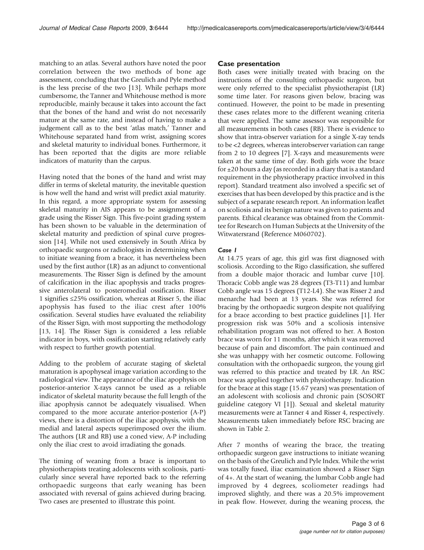matching to an atlas. Several authors have noted the poor correlation between the two methods of bone age assessment, concluding that the Greulich and Pyle method is the less precise of the two [\[13\]](#page-4-0). While perhaps more cumbersome, the Tanner and Whitehouse method is more reproducible, mainly because it takes into account the fact that the bones of the hand and wrist do not necessarily mature at the same rate, and instead of having to make a judgement call as to the best 'atlas match,' Tanner and Whitehouse separated hand from wrist, assigning scores and skeletal maturity to individual bones. Furthermore, it has been reported that the digits are more reliable indicators of maturity than the carpus.

Having noted that the bones of the hand and wrist may differ in terms of skeletal maturity, the inevitable question is how well the hand and wrist will predict axial maturity. In this regard, a more appropriate system for assessing skeletal maturity in AIS appears to be assignment of a grade using the Risser Sign. This five-point grading system has been shown to be valuable in the determination of skeletal maturity and prediction of spinal curve progression [\[14](#page-5-0)]. While not used extensively in South Africa by orthopaedic surgeons or radiologists in determining when to initiate weaning from a brace, it has nevertheless been used by the first author (LR) as an adjunct to conventional measurements. The Risser Sign is defined by the amount of calcification in the iliac apophysis and tracks progressive anterolateral to posteromedial ossification. Risser 1 signifies ≤25% ossification, whereas at Risser 5, the iliac apophysis has fused to the iliac crest after 100% ossification. Several studies have evaluated the reliability of the Risser Sign, with most supporting the methodology [\[13,](#page-4-0) [14](#page-5-0)]. The Risser Sign is considered a less reliable indicator in boys, with ossification starting relatively early with respect to further growth potential.

Adding to the problem of accurate staging of skeletal maturation is apophyseal image variation according to the radiological view. The appearance of the iliac apophysis on posterior-anterior X-rays cannot be used as a reliable indicator of skeletal maturity because the full length of the iliac apophysis cannot be adequately visualised. When compared to the more accurate anterior-posterior (A-P) views, there is a distortion of the iliac apophysis, with the medial and lateral aspects superimposed over the ilium. The authors (LR and RB) use a coned view, A-P including only the iliac crest to avoid irradiating the gonads.

The timing of weaning from a brace is important to physiotherapists treating adolescents with scoliosis, particularly since several have reported back to the referring orthopaedic surgeons that early weaning has been associated with reversal of gains achieved during bracing. Two cases are presented to illustrate this point.

#### Case presentation

Both cases were initially treated with bracing on the instructions of the consulting orthopaedic surgeon, but were only referred to the specialist physiotherapist (LR) some time later. For reasons given below, bracing was continued. However, the point to be made in presenting these cases relates more to the different weaning criteria that were applied. The same assessor was responsible for all measurements in both cases (RB). There is evidence to show that intra-observer variation for a single X-ray tends to be <2 degrees, whereas interobserver variation can range from 2 to 10 degrees [\[7\]](#page-4-0). X-rays and measurements were taken at the same time of day. Both girls wore the brace for  $\pm 20$  hours a day (as recorded in a diary that is a standard requirement in the physiotherapy practice involved in this report). Standard treatment also involved a specific set of exercises that has been developed by this practice and is the subject of a separate research report. An information leaflet on scoliosis and its benign nature was given to patients and parents. Ethical clearance was obtained from the Committee for Research on Human Subjects at the University of the Witwatersrand (Reference M060702).

#### Case 1

At 14.75 years of age, this girl was first diagnosed with scoliosis. According to the Rigo classification, she suffered from a double major thoracic and lumbar curve [\[10\]](#page-4-0). Thoracic Cobb angle was 28 degrees (T3-T11) and lumbar Cobb angle was 15 degrees (T12-L4). She was Risser 2 and menarche had been at 13 years. She was referred for bracing by the orthopaedic surgeon despite not qualifying for a brace according to best practice guidelines [\[1\]](#page-4-0). Her progression risk was 50% and a scoliosis intensive rehabilitation program was not offered to her. A Boston brace was worn for 11 months, after which it was removed because of pain and discomfort. The pain continued and she was unhappy with her cosmetic outcome. Following consultation with the orthopaedic surgeon, the young girl was referred to this practice and treated by LR. An RSC brace was applied together with physiotherapy. Indication for the brace at this stage (15.67 years) was presentation of an adolescent with scoliosis and chronic pain (SOSORT guideline category VI [\[1\]](#page-4-0)). Sexual and skeletal maturity measurements were at Tanner 4 and Risser 4, respectively. Measurements taken immediately before RSC bracing are shown in [Table 2.](#page-3-0)

After 7 months of wearing the brace, the treating orthopaedic surgeon gave instructions to initiate weaning on the basis of the Greulich and Pyle Index. While the wrist was totally fused, iliac examination showed a Risser Sign of 4+. At the start of weaning, the lumbar Cobb angle had improved by 4 degrees, scoliometer readings had improved slightly, and there was a 20.5% improvement in peak flow. However, during the weaning process, the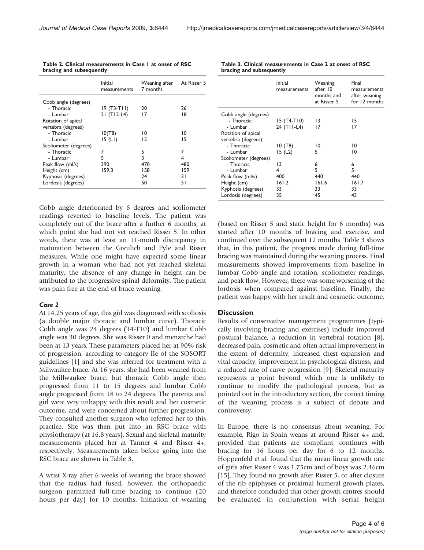|                                          | Initial<br>measurements | Weaning after<br>7 months | At Risser 5 |
|------------------------------------------|-------------------------|---------------------------|-------------|
| Cobb angle (degrees)                     |                         |                           |             |
| - Thoracic                               | $19(T3-T11)$            | 20                        | 26          |
| - Lumbar                                 | $21$ (T12-L4)           | 17                        | 18          |
| Rotation of apical<br>vertebra (degrees) |                         |                           |             |
| - Thoracic                               | 10(T8)                  | 10                        | 10          |
| - Lumbar                                 | 15(L1)                  | 15                        | 15          |
| Scoliometer (degrees)                    |                         |                           |             |
| - Thoracic                               | 7                       | 5                         | 7           |
| - Lumbar                                 | 5                       | 3                         | 4           |
| Peak flow (ml/s)                         | 390                     | 470                       | 480         |
| Height (cm)                              | 159.3                   | 158                       | 159         |
| Kyphosis (degrees)                       |                         | 24                        | 31          |
| Lordosis (degrees)                       |                         | 50                        | 51          |

<span id="page-3-0"></span>Table 2. Clinical measurements in Case 1 at onset of RSC bracing and subsequently

Cobb angle deteriorated by 6 degrees and scoliometer readings reverted to baseline levels. The patient was completely out of the brace after a further 6 months, at which point she had not yet reached Risser 5. In other words, there was at least an 11-month discrepancy in maturation between the Greulich and Pyle and Risser measures. While one might have expected some linear growth in a woman who had not yet reached skeletal maturity, the absence of any change in height can be attributed to the progressive spinal deformity. The patient was pain free at the end of brace weaning.

#### Case 2

At 14.25 years of age, this girl was diagnosed with scoliosis (a double major thoracic and lumbar curve). Thoracic Cobb angle was 24 degrees (T4-T10) and lumbar Cobb angle was 30 degrees. She was Risser 0 and menarche had been at 13 years. These parameters placed her at 90% risk of progression, according to category IIe of the SOSORT guidelines [\[1\]](#page-4-0) and she was referred for treatment with a Milwaukee brace. At 16 years, she had been weaned from the Millwaukee brace, but thoracic Cobb angle then progressed from 11 to 15 degrees and lumbar Cobb angle progressed from 18 to 24 degrees. The parents and girl were very unhappy with this result and her cosmetic outcome, and were concerned about further progression. They consulted another surgeon who referred her to this practice. She was then put into an RSC brace with physiotherapy (at 16.8 years). Sexual and skeletal maturity measurements placed her at Tanner 4 and Risser 4+, respectively. Measurements taken before going into the RSC brace are shown in Table 3.

A wrist X-ray after 6 weeks of wearing the brace showed that the radius had fused, however, the orthopaedic surgeon permitted full-time bracing to continue (20 hours per day) for 10 months. Initiation of weaning

| Table 3. Clinical measurements in Case 2 at onset of RSC |  |  |
|----------------------------------------------------------|--|--|
| bracing and subsequently                                 |  |  |

|                       | Initial<br>measurements | Weaning<br>after 10<br>months and<br>at Risser 5 | Final<br>measurements<br>after weaning<br>for 12 months |
|-----------------------|-------------------------|--------------------------------------------------|---------------------------------------------------------|
| Cobb angle (degrees)  |                         |                                                  |                                                         |
| - Thoracic            | $15(T4-T10)$            | 13                                               | 15                                                      |
| - Lumbar              | $24$ (TII-L4)           | 17                                               | 17                                                      |
| Rotation of apical    |                         |                                                  |                                                         |
| vertebra (degrees)    |                         |                                                  |                                                         |
| - Thoracic            | 10(78)                  | 10                                               | 10                                                      |
| - Lumbar              | 15(L2)                  | 5                                                | 10                                                      |
| Scoliometer (degrees) |                         |                                                  |                                                         |
| - Thoracic            | 13                      | 6                                                | 6                                                       |
| - Lumbar              | 4                       | 5                                                | 5                                                       |
| Peak flow (ml/s)      | 400                     | 440                                              | 440                                                     |
| Height (cm)           | 161.2                   | 161.6                                            | 161.7                                                   |
| Kyphosis (degrees)    | 33                      | 33                                               | 33                                                      |
| Lordosis (degrees)    | 35                      | 45                                               | 43                                                      |

(based on Risser 5 and static height for 6 months) was started after 10 months of bracing and exercise, and continued over the subsequent 12 months. Table 3 shows that, in this patient, the progress made during full-time bracing was maintained during the weaning process. Final measurements showed improvements from baseline in lumbar Cobb angle and rotation, scoliometer readings, and peak flow. However, there was some worsening of the lordosis when compared against baseline. Finally, the patient was happy with her result and cosmetic outcome.

#### **Discussion**

Results of conservative management programmes (typically involving bracing and exercises) include improved postural balance, a reduction in vertebral rotation [\[8\]](#page-4-0), decreased pain, cosmetic and often actual improvement in the extent of deformity, increased chest expansion and vital capacity, improvement in psychological distress, and a reduced rate of curve progression [\[9](#page-4-0)]. Skeletal maturity represents a point beyond which one is unlikely to continue to modify the pathological process, but as pointed out in the introductory section, the correct timing of the weaning process is a subject of debate and controversy.

In Europe, there is no consensus about weaning. For example, Rigo in Spain weans at around Risser 4+ and, provided that patients are compliant, continues with bracing for 16 hours per day for 6 to 12 months. Hoppenfeld et al. found that the mean linear growth rate of girls after Risser 4 was 1.75cm and of boys was 2.46cm [[15\]](#page-5-0). They found no growth after Risser 5, or after closure of the rib epiphyses or proximal humeral growth plates, and therefore concluded that other growth centres should be evaluated in conjunction with serial height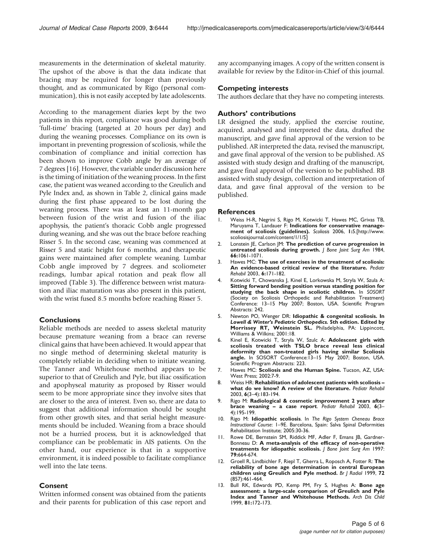<span id="page-4-0"></span>measurements in the determination of skeletal maturity. The upshot of the above is that the data indicate that bracing may be required for longer than previously thought, and as communicated by Rigo (personal communication), this is not easily accepted by late adolescents.

According to the management diaries kept by the two patients in this report, compliance was good during both 'full-time' bracing (targeted at 20 hours per day) and during the weaning processes. Compliance on its own is important in preventing progression of scoliosis, while the combination of compliance and initial correction has been shown to improve Cobb angle by an average of 7 degrees [[16](#page-5-0)]. However, the variable under discussion here is the timing of initiation of the weaning process. In the first case, the patient was weaned according to the Greulich and Pyle Index and, as shown in [Table 2](#page-3-0), clinical gains made during the first phase appeared to be lost during the weaning process. There was at least an 11-month gap between fusion of the wrist and fusion of the iliac apophysis, the patient's thoracic Cobb angle progressed during weaning, and she was out the brace before reaching Risser 5. In the second case, weaning was commenced at Risser 5 and static height for 6 months, and therapeutic gains were maintained after complete weaning. Lumbar Cobb angle improved by 7 degrees. and scoliometer readings, lumbar apical rotation and peak flow all improved ([Table 3](#page-3-0)). The difference between wrist maturation and iliac maturation was also present in this patient, with the wrist fused 8.5 months before reaching Risser 5.

### **Conclusions**

Reliable methods are needed to assess skeletal maturity because premature weaning from a brace can reverse clinical gains that have been achieved. It would appear that no single method of determining skeletal maturity is completely reliable in deciding when to initiate weaning. The Tanner and Whitehouse method appears to be superior to that of Greulich and Pyle, but iliac ossification and apophyseal maturity as proposed by Risser would seem to be more appropriate since they involve sites that are closer to the area of interest. Even so, there are data to suggest that additional information should be sought from other growth sites, and that serial height measurements should be included. Weaning from a brace should not be a hurried process, but it is acknowledged that compliance can be problematic in AIS patients. On the other hand, our experience is that in a supportive environment, it is indeed possible to facilitate compliance well into the late teens.

### Consent

Written informed consent was obtained from the patients and their parents for publication of this case report and any accompanying images. A copy of the written consent is available for review by the Editor-in-Chief of this journal.

#### Competing interests

The authors declare that they have no competing interests.

#### Authors' contributions

LR designed the study, applied the exercise routine, acquired, analysed and interpreted the data, drafted the manuscript, and gave final approval of the version to be published. AR interpreted the data, revised the manuscript, and gave final approval of the version to be published. AS assisted with study design and drafting of the manuscript, and gave final approval of the version to be published. RB assisted with study design, collection and interpretation of data, and gave final approval of the version to be published.

#### References

- 1. Weiss H-R, Negrini S, Rigo M, Kotwicki T, Hawes MC, Grivas TB, Maruyama T, Landauer F: Indications for conservative management of scoliosis (guidelines). Scoliosis 2006, 1:5.[http://www. scoliosisjournal.com/content/1/1/5]
- 2. Lonstein JE, Carlson JM: The prediction of curve progression in untreated scoliosis during growth. J Bone Joint Surg Am 1984, 66:1061-1071.
- 3. Hawes MC: The use of exercises in the treatment of scoliosis: An evidence-based critical review of the literature. Pediatr Rehabil 2003, 6:171-182.
- 4. Kotwicki T, Chowanska J, Kinel E, Lorkowska M, Stryla W, Szula A: Sitting forward bending position versus standing position for studying the back shape in scoliotic children. In SOSORT (Society on Scoliosis Orthopedic and Rehabilitation Treatment) Conference: 13–15 May 2007; Boston, USA. Scientific Program Abstracts: 242.
- 5. Newton PO, Wenger DR: Idiopathic & congenital scoliosis. In Lowell & Winter's Pediatric Orthopedics. 5th edition. Edited by Morrissey RT, Weinstein SL. Philadelphia, PA: Lippincott, Williams & Wilkins; 2001:18.
- 6. Kinel E, Kotwicki T, Stryla W, Szulc A: Adolescent girls with scoliosis treated with TSLO brace reveal less clinical deformity than non-treated girls having similar Scoliosis angle. In SOSORT Conference:13-15 May 2007; Boston, USA. Scientific Program Abstracts: 223.
- 7. Hawes MC: Scoliosis and the Human Spine. Tucson, AZ, USA: West Press; 2002:7-9.
- 8. Weiss HR: Rehabilitation of adolescent patients with scoliosis what do we know? A review of the literature. Pediatr Rehabil 2003, 6(3–4):183-194.
- 9. Rigo M: Radiological & cosmetic improvement 2 years after brace weaning - a case report. Pediatr Rehabil 2003, 6(3-4):195-199.
- 10. Rigo M: Idiopathic scoliosis. In The Rigo System Cheneau Brace Instructional Course: 1–9E. Barcelona, Spain: Salva Spinal Deformities Rehabilitation Institute; 2005:30-36.
- 11. Rowe DE, Bernstein SM, Riddick MF, Adler F, Emans JB, Gardner-Bonneau D: A meta-analysis of the efficacy of non-operative treatments for idiopathic scoliosis. J Bone Joint Surg Am 1997: 79:664-674.
- 12. Groell R, Lindbichler F, Riepl T, Gherra L, Roposch A, Fotter R: The reliability of bone age determination in central European children using Greulich and Pyle method. Br | Radiol 1999, 72 (857):461-464.
- 13. Bull RK, Edwards PD, Kemp PM, Fry S, Hughes A: Bone age assessment: a large-scale comparison of Greulich and Pyle Index and Tanner and Whitehouse Methods. Arch Dis Child 1999, 81:172-173.